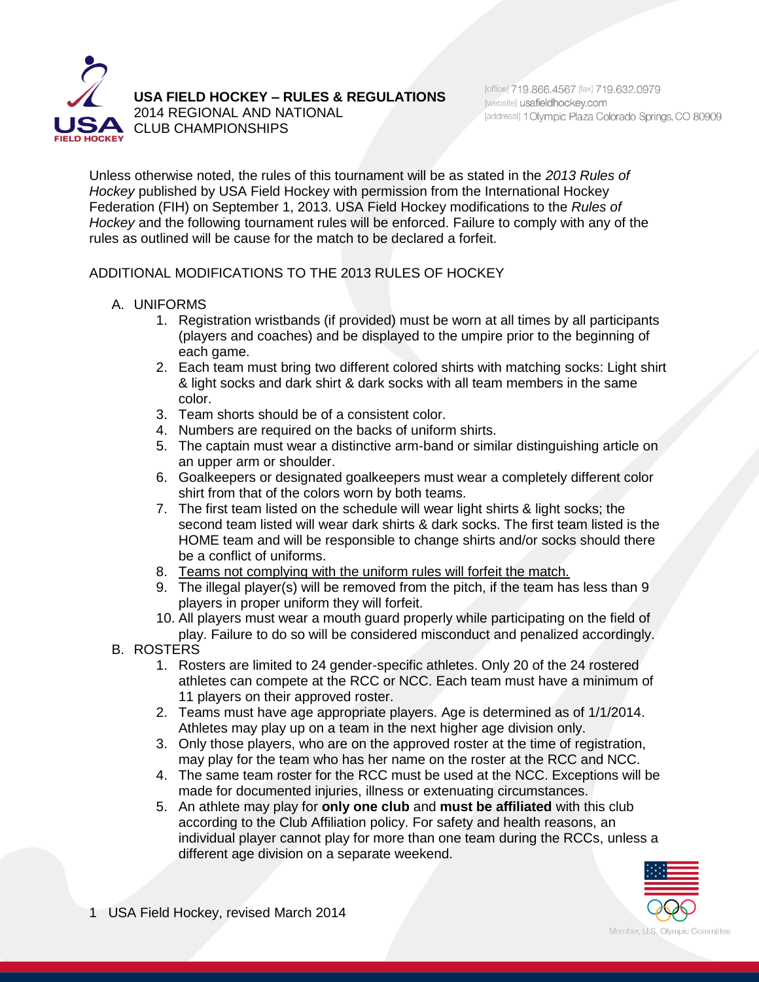

**USA FIELD HOCKEY – RULES & REGULATIONS**

2014 REGIONAL AND NATIONAL **SA** CLUB CHAMPIONSHIPS

Unless otherwise noted, the rules of this tournament will be as stated in the *2013 Rules of Hockey* published by USA Field Hockey with permission from the International Hockey Federation (FIH) on September 1, 2013. USA Field Hockey modifications to the *Rules of Hockey* and the following tournament rules will be enforced. Failure to comply with any of the rules as outlined will be cause for the match to be declared a forfeit.

ADDITIONAL MODIFICATIONS TO THE 2013 RULES OF HOCKEY

- A. UNIFORMS
	- 1. Registration wristbands (if provided) must be worn at all times by all participants (players and coaches) and be displayed to the umpire prior to the beginning of each game.
	- 2. Each team must bring two different colored shirts with matching socks: Light shirt & light socks and dark shirt & dark socks with all team members in the same color.
	- 3. Team shorts should be of a consistent color.
	- 4. Numbers are required on the backs of uniform shirts.
	- 5. The captain must wear a distinctive arm-band or similar distinguishing article on an upper arm or shoulder.
	- 6. Goalkeepers or designated goalkeepers must wear a completely different color shirt from that of the colors worn by both teams.
	- 7. The first team listed on the schedule will wear light shirts & light socks; the second team listed will wear dark shirts & dark socks. The first team listed is the HOME team and will be responsible to change shirts and/or socks should there be a conflict of uniforms.
	- 8. Teams not complying with the uniform rules will forfeit the match.
	- 9. The illegal player(s) will be removed from the pitch, if the team has less than 9 players in proper uniform they will forfeit.
	- 10. All players must wear a mouth guard properly while participating on the field of play. Failure to do so will be considered misconduct and penalized accordingly.
- B. ROSTERS
	- 1. Rosters are limited to 24 gender-specific athletes. Only 20 of the 24 rostered athletes can compete at the RCC or NCC. Each team must have a minimum of 11 players on their approved roster.
	- 2. Teams must have age appropriate players. Age is determined as of 1/1/2014. Athletes may play up on a team in the next higher age division only.
	- 3. Only those players, who are on the approved roster at the time of registration, may play for the team who has her name on the roster at the RCC and NCC.
	- 4. The same team roster for the RCC must be used at the NCC. Exceptions will be made for documented injuries, illness or extenuating circumstances.
	- 5. An athlete may play for **only one club** and **must be affiliated** with this club according to the Club Affiliation policy. For safety and health reasons, an individual player cannot play for more than one team during the RCCs, unless a different age division on a separate weekend.

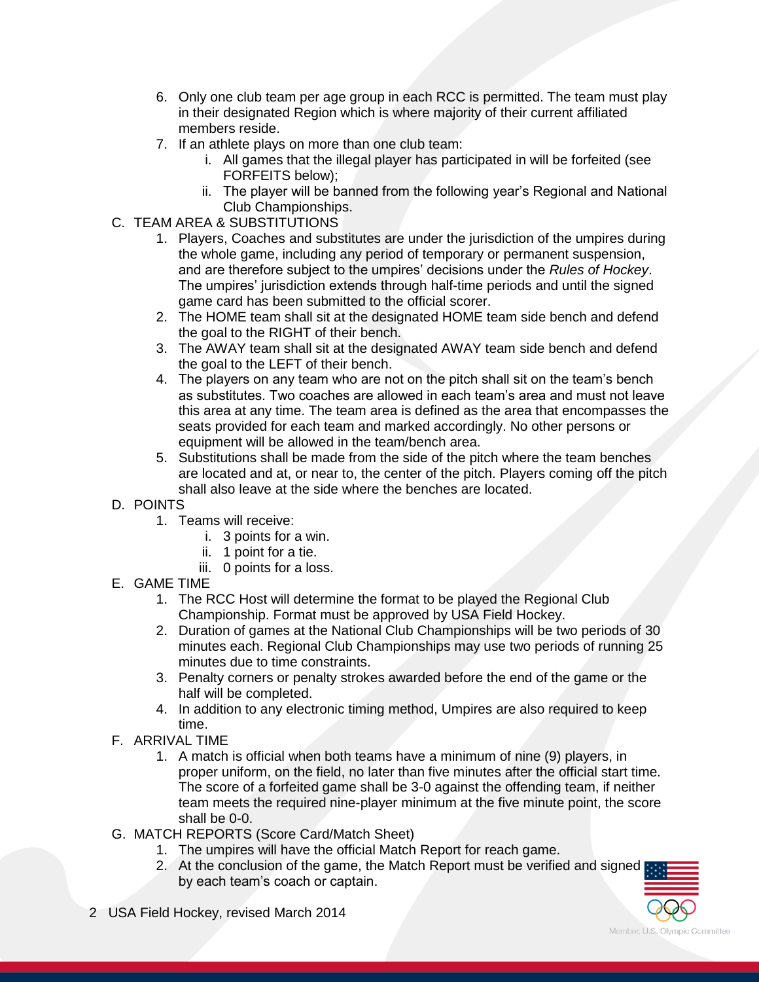- 6. Only one club team per age group in each RCC is permitted. The team must play in their designated Region which is where majority of their current affiliated members reside.
- 7. If an athlete plays on more than one club team:
	- i. All games that the illegal player has participated in will be forfeited (see FORFEITS below);
	- ii. The player will be banned from the following year's Regional and National Club Championships.
- C. TEAM AREA & SUBSTITUTIONS
	- 1. Players, Coaches and substitutes are under the jurisdiction of the umpires during the whole game, including any period of temporary or permanent suspension, and are therefore subject to the umpires' decisions under the *Rules of Hockey*. The umpires' jurisdiction extends through half-time periods and until the signed game card has been submitted to the official scorer.
	- 2. The HOME team shall sit at the designated HOME team side bench and defend the goal to the RIGHT of their bench.
	- 3. The AWAY team shall sit at the designated AWAY team side bench and defend the goal to the LEFT of their bench.
	- 4. The players on any team who are not on the pitch shall sit on the team's bench as substitutes. Two coaches are allowed in each team's area and must not leave this area at any time. The team area is defined as the area that encompasses the seats provided for each team and marked accordingly. No other persons or equipment will be allowed in the team/bench area.
	- 5. Substitutions shall be made from the side of the pitch where the team benches are located and at, or near to, the center of the pitch. Players coming off the pitch shall also leave at the side where the benches are located.
- D. POINTS
	- 1. Teams will receive:
		- i. 3 points for a win.
		- ii. 1 point for a tie.
		- iii. 0 points for a loss.
- E. GAME TIME
	- 1. The RCC Host will determine the format to be played the Regional Club Championship. Format must be approved by USA Field Hockey.
	- 2. Duration of games at the National Club Championships will be two periods of 30 minutes each. Regional Club Championships may use two periods of running 25 minutes due to time constraints.
	- 3. Penalty corners or penalty strokes awarded before the end of the game or the half will be completed.
	- 4. In addition to any electronic timing method, Umpires are also required to keep time.
- F. ARRIVAL TIME
	- 1. A match is official when both teams have a minimum of nine (9) players, in proper uniform, on the field, no later than five minutes after the official start time. The score of a forfeited game shall be 3-0 against the offending team, if neither team meets the required nine-player minimum at the five minute point, the score shall be 0-0.
- G. MATCH REPORTS (Score Card/Match Sheet)
	- 1. The umpires will have the official Match Report for reach game.
	- 2. At the conclusion of the game, the Match Report must be verified and signed by each team's coach or captain.
- 2 USA Field Hockey, revised March 2014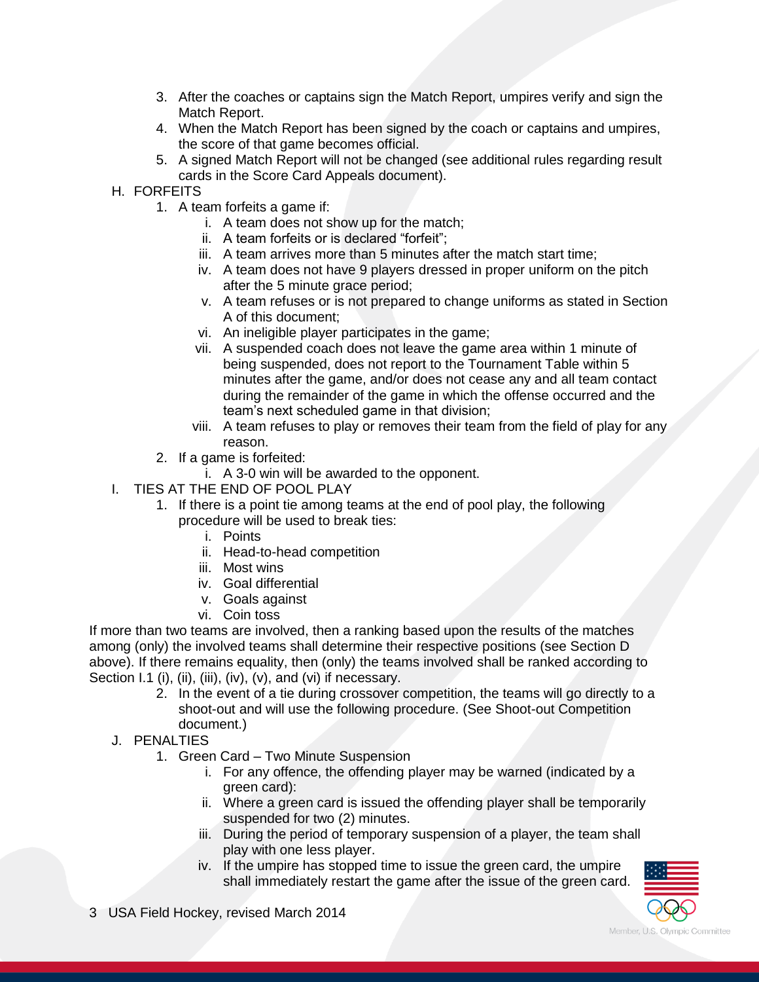- 3. After the coaches or captains sign the Match Report, umpires verify and sign the Match Report.
- 4. When the Match Report has been signed by the coach or captains and umpires, the score of that game becomes official.
- 5. A signed Match Report will not be changed (see additional rules regarding result cards in the Score Card Appeals document).
- H. FORFEITS
	- 1. A team forfeits a game if:
		- i. A team does not show up for the match;
		- ii. A team forfeits or is declared "forfeit";
		- iii. A team arrives more than 5 minutes after the match start time;
		- iv. A team does not have 9 players dressed in proper uniform on the pitch after the 5 minute grace period;
		- v. A team refuses or is not prepared to change uniforms as stated in Section A of this document;
		- vi. An ineligible player participates in the game;
		- vii. A suspended coach does not leave the game area within 1 minute of being suspended, does not report to the Tournament Table within 5 minutes after the game, and/or does not cease any and all team contact during the remainder of the game in which the offense occurred and the team's next scheduled game in that division;
		- viii. A team refuses to play or removes their team from the field of play for any reason.
	- 2. If a game is forfeited:
		- i. A 3-0 win will be awarded to the opponent.
- I. TIES AT THE END OF POOL PLAY
	- 1. If there is a point tie among teams at the end of pool play, the following procedure will be used to break ties:
		- i. Points
		- ii. Head-to-head competition
		- iii. Most wins
		- iv. Goal differential
		- v. Goals against
		- vi. Coin toss

If more than two teams are involved, then a ranking based upon the results of the matches among (only) the involved teams shall determine their respective positions (see Section D above). If there remains equality, then (only) the teams involved shall be ranked according to Section I.1 (i), (ii), (iii), (iv), (v), and (vi) if necessary.

- 2. In the event of a tie during crossover competition, the teams will go directly to a shoot-out and will use the following procedure. (See Shoot-out Competition document.)
- J. PENALTIES
	- 1. Green Card Two Minute Suspension
		- i. For any offence, the offending player may be warned (indicated by a green card):
		- ii. Where a green card is issued the offending player shall be temporarily suspended for two (2) minutes.
		- iii. During the period of temporary suspension of a player, the team shall play with one less player.
		- iv. If the umpire has stopped time to issue the green card, the umpire shall immediately restart the game after the issue of the green card.



3 USA Field Hockey, revised March 2014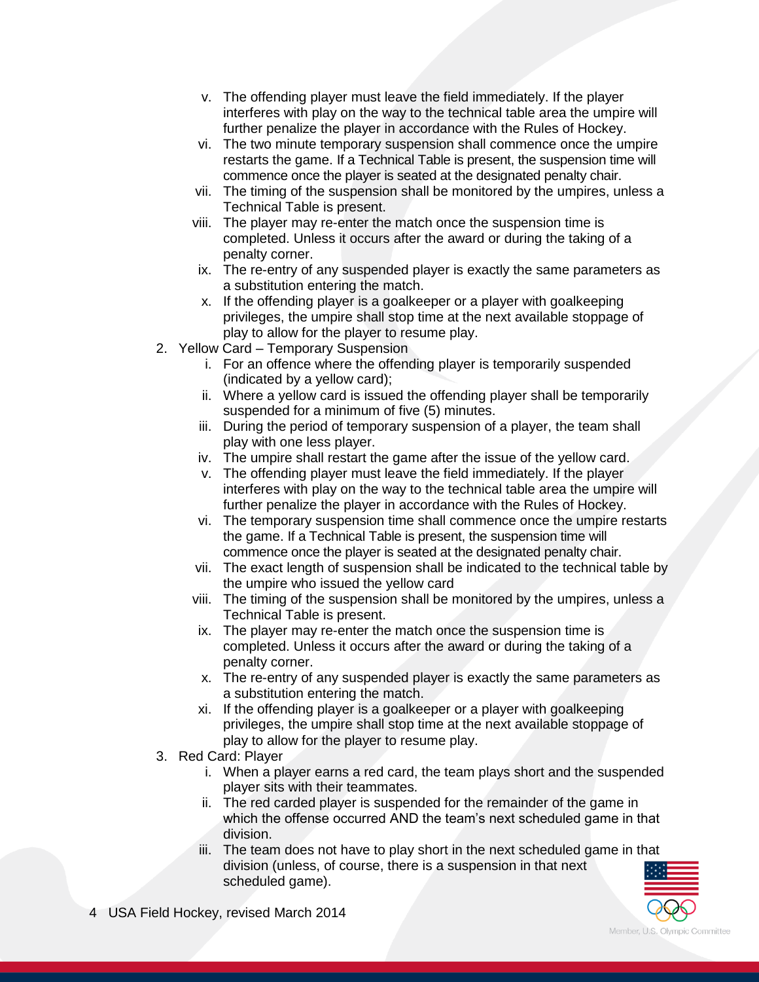- v. The offending player must leave the field immediately. If the player interferes with play on the way to the technical table area the umpire will further penalize the player in accordance with the Rules of Hockey.
- vi. The two minute temporary suspension shall commence once the umpire restarts the game. If a Technical Table is present, the suspension time will commence once the player is seated at the designated penalty chair.
- vii. The timing of the suspension shall be monitored by the umpires, unless a Technical Table is present.
- viii. The player may re-enter the match once the suspension time is completed. Unless it occurs after the award or during the taking of a penalty corner.
- ix. The re-entry of any suspended player is exactly the same parameters as a substitution entering the match.
- x. If the offending player is a goalkeeper or a player with goalkeeping privileges, the umpire shall stop time at the next available stoppage of play to allow for the player to resume play.
- 2. Yellow Card Temporary Suspension
	- i. For an offence where the offending player is temporarily suspended (indicated by a yellow card);
	- ii. Where a yellow card is issued the offending player shall be temporarily suspended for a minimum of five (5) minutes.
	- iii. During the period of temporary suspension of a player, the team shall play with one less player.
	- iv. The umpire shall restart the game after the issue of the yellow card.
	- v. The offending player must leave the field immediately. If the player interferes with play on the way to the technical table area the umpire will further penalize the player in accordance with the Rules of Hockey.
	- vi. The temporary suspension time shall commence once the umpire restarts the game. If a Technical Table is present, the suspension time will commence once the player is seated at the designated penalty chair.
	- vii. The exact length of suspension shall be indicated to the technical table by the umpire who issued the yellow card
	- viii. The timing of the suspension shall be monitored by the umpires, unless a Technical Table is present.
	- ix. The player may re-enter the match once the suspension time is completed. Unless it occurs after the award or during the taking of a penalty corner.
	- x. The re-entry of any suspended player is exactly the same parameters as a substitution entering the match.
	- xi. If the offending player is a goalkeeper or a player with goalkeeping privileges, the umpire shall stop time at the next available stoppage of play to allow for the player to resume play.
- 3. Red Card: Player
	- i. When a player earns a red card, the team plays short and the suspended player sits with their teammates.
	- ii. The red carded player is suspended for the remainder of the game in which the offense occurred AND the team's next scheduled game in that division.
	- iii. The team does not have to play short in the next scheduled game in that division (unless, of course, there is a suspension in that next scheduled game).

Member, U.S. Olympic Committee

4 USA Field Hockey, revised March 2014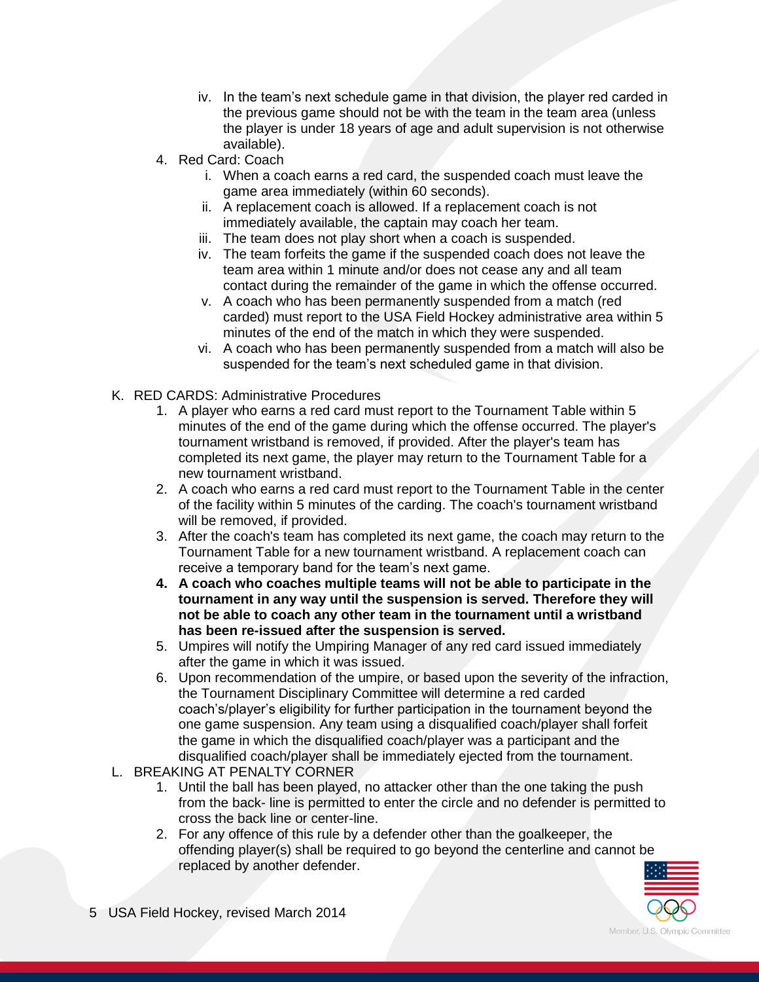- iv. In the team's next schedule game in that division, the player red carded in the previous game should not be with the team in the team area (unless the player is under 18 years of age and adult supervision is not otherwise available).
- 4. Red Card: Coach
	- i. When a coach earns a red card, the suspended coach must leave the game area immediately (within 60 seconds).
	- ii. A replacement coach is allowed. If a replacement coach is not immediately available, the captain may coach her team.
	- iii. The team does not play short when a coach is suspended.
	- iv. The team forfeits the game if the suspended coach does not leave the team area within 1 minute and/or does not cease any and all team contact during the remainder of the game in which the offense occurred.
	- v. A coach who has been permanently suspended from a match (red carded) must report to the USA Field Hockey administrative area within 5 minutes of the end of the match in which they were suspended.
	- vi. A coach who has been permanently suspended from a match will also be suspended for the team's next scheduled game in that division.
- K. RED CARDS: Administrative Procedures
	- 1. A player who earns a red card must report to the Tournament Table within 5 minutes of the end of the game during which the offense occurred. The player's tournament wristband is removed, if provided. After the player's team has completed its next game, the player may return to the Tournament Table for a new tournament wristband.
	- 2. A coach who earns a red card must report to the Tournament Table in the center of the facility within 5 minutes of the carding. The coach's tournament wristband will be removed, if provided.
	- 3. After the coach's team has completed its next game, the coach may return to the Tournament Table for a new tournament wristband. A replacement coach can receive a temporary band for the team's next game.
	- **4. A coach who coaches multiple teams will not be able to participate in the tournament in any way until the suspension is served. Therefore they will not be able to coach any other team in the tournament until a wristband has been re-issued after the suspension is served.**
	- 5. Umpires will notify the Umpiring Manager of any red card issued immediately after the game in which it was issued.
	- 6. Upon recommendation of the umpire, or based upon the severity of the infraction, the Tournament Disciplinary Committee will determine a red carded coach's/player's eligibility for further participation in the tournament beyond the one game suspension. Any team using a disqualified coach/player shall forfeit the game in which the disqualified coach/player was a participant and the disqualified coach/player shall be immediately ejected from the tournament.
- L. BREAKING AT PENALTY CORNER
	- 1. Until the ball has been played, no attacker other than the one taking the push from the back- line is permitted to enter the circle and no defender is permitted to cross the back line or center-line.
	- 2. For any offence of this rule by a defender other than the goalkeeper, the offending player(s) shall be required to go beyond the centerline and cannot be replaced by another defender.



5 USA Field Hockey, revised March 2014